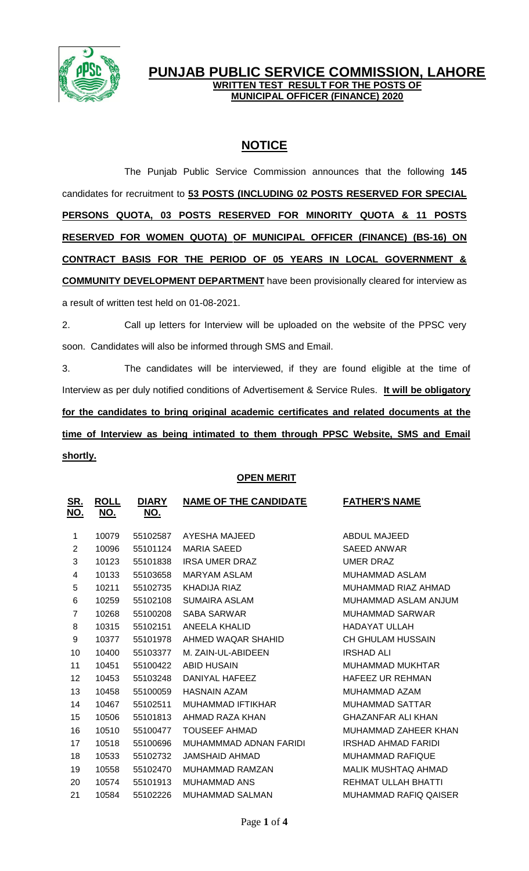

## **PUNJAB PUBLIC SERVICE COMMISSION, LAHORE WRITTEN TEST RESULT FOR THE POSTS OF MUNICIPAL OFFICER (FINANCE) 2020**

# **NOTICE**

The Punjab Public Service Commission announces that the following **145** candidates for recruitment to **53 POSTS (INCLUDING 02 POSTS RESERVED FOR SPECIAL PERSONS QUOTA, 03 POSTS RESERVED FOR MINORITY QUOTA & 11 POSTS RESERVED FOR WOMEN QUOTA) OF MUNICIPAL OFFICER (FINANCE) (BS-16) ON CONTRACT BASIS FOR THE PERIOD OF 05 YEARS IN LOCAL GOVERNMENT & COMMUNITY DEVELOPMENT DEPARTMENT** have been provisionally cleared for interview as a result of written test held on 01-08-2021.

2. Call up letters for Interview will be uploaded on the website of the PPSC very soon. Candidates will also be informed through SMS and Email.

3. The candidates will be interviewed, if they are found eligible at the time of Interview as per duly notified conditions of Advertisement & Service Rules. **It will be obligatory for the candidates to bring original academic certificates and related documents at the time of Interview as being intimated to them through PPSC Website, SMS and Email shortly.**

### **OPEN MERIT**

| <u>SR.</u><br><u>NO.</u> | <u>ROLL</u><br><u>NO.</u> | <b>DIARY</b><br><u>NO.</u> | <b>NAME OF THE CANDIDATE</b> | <b>FATHER'S NAME</b>         |
|--------------------------|---------------------------|----------------------------|------------------------------|------------------------------|
| 1                        | 10079                     | 55102587                   | AYESHA MAJEED                | <b>ABDUL MAJEED</b>          |
| 2                        | 10096                     | 55101124                   | <b>MARIA SAEED</b>           | <b>SAEED ANWAR</b>           |
| 3                        | 10123                     | 55101838                   | <b>IRSA UMER DRAZ</b>        | <b>UMER DRAZ</b>             |
| 4                        | 10133                     | 55103658                   | <b>MARYAM ASLAM</b>          | MUHAMMAD ASLAM               |
| 5                        | 10211                     | 55102735                   | KHADIJA RIAZ                 | MUHAMMAD RIAZ AHMAD          |
| 6                        | 10259                     | 55102108                   | <b>SUMAIRA ASLAM</b>         | MUHAMMAD ASLAM ANJUM         |
| 7                        | 10268                     | 55100208                   | <b>SABA SARWAR</b>           | <b>MUHAMMAD SARWAR</b>       |
| 8                        | 10315                     | 55102151                   | ANEELA KHALID                | <b>HADAYAT ULLAH</b>         |
| 9                        | 10377                     | 55101978                   | AHMED WAQAR SHAHID           | <b>CH GHULAM HUSSAIN</b>     |
| 10                       | 10400                     | 55103377                   | M. ZAIN-UL-ABIDEEN           | <b>IRSHAD ALI</b>            |
| 11                       | 10451                     | 55100422                   | <b>ABID HUSAIN</b>           | <b>MUHAMMAD MUKHTAR</b>      |
| 12                       | 10453                     | 55103248                   | DANIYAL HAFEEZ               | <b>HAFEEZ UR REHMAN</b>      |
| 13                       | 10458                     | 55100059                   | <b>HASNAIN AZAM</b>          | MUHAMMAD AZAM                |
| 14                       | 10467                     | 55102511                   | <b>MUHAMMAD IFTIKHAR</b>     | <b>MUHAMMAD SATTAR</b>       |
| 15                       | 10506                     | 55101813                   | AHMAD RAZA KHAN              | <b>GHAZANFAR ALI KHAN</b>    |
| 16                       | 10510                     | 55100477                   | <b>TOUSEEF AHMAD</b>         | MUHAMMAD ZAHEER KHAN         |
| 17                       | 10518                     | 55100696                   | MUHAMMMAD ADNAN FARIDI       | <b>IRSHAD AHMAD FARIDI</b>   |
| 18                       | 10533                     | 55102732                   | <b>JAMSHAID AHMAD</b>        | <b>MUHAMMAD RAFIQUE</b>      |
| 19                       | 10558                     | 55102470                   | <b>MUHAMMAD RAMZAN</b>       | <b>MALIK MUSHTAQ AHMAD</b>   |
| 20                       | 10574                     | 55101913                   | MUHAMMAD ANS                 | REHMAT ULLAH BHATTI          |
| 21                       | 10584                     | 55102226                   | <b>MUHAMMAD SALMAN</b>       | <b>MUHAMMAD RAFIQ QAISER</b> |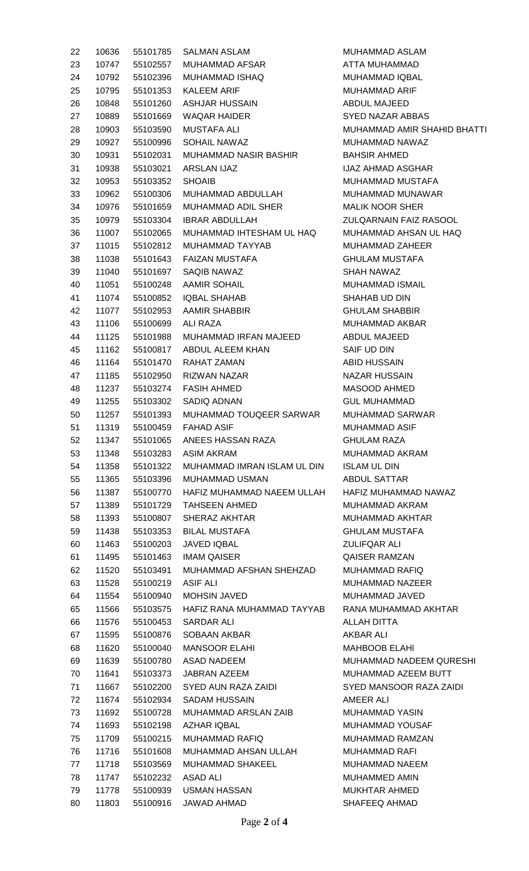| 22 | 10636 | 55101785 | <b>SALMAN ASLAM</b>          |
|----|-------|----------|------------------------------|
| 23 | 10747 | 55102557 | MUHAMMAD AFSAR               |
| 24 | 10792 | 55102396 | MUHAMMAD ISHAQ               |
| 25 | 10795 |          | 55101353 KALEEM ARIF         |
| 26 | 10848 | 55101260 | <b>ASHJAR HUSSAIN</b>        |
| 27 | 10889 | 55101669 | <b>WAQAR HAIDER</b>          |
| 28 | 10903 | 55103590 | MUSTAFA ALI                  |
| 29 | 10927 | 55100996 | <b>SOHAIL NAWAZ</b>          |
| 30 | 10931 | 55102031 | <b>MUHAMMAD NASIR BASHIR</b> |
| 31 | 10938 | 55103021 | ARSLAN IJAZ                  |
| 32 | 10953 | 55103352 | <b>SHOAIB</b>                |
| 33 | 10962 | 55100306 | MUHAMMAD ABDULLAH            |
| 34 | 10976 | 55101659 | <b>MUHAMMAD ADIL SHER</b>    |
| 35 | 10979 | 55103304 | <b>IBRAR ABDULLAH</b>        |
|    | 11007 | 55102065 |                              |
| 36 |       |          | MUHAMMAD IHTESHAM UL HAQ     |
| 37 | 11015 | 55102812 | MUHAMMAD TAYYAB              |
| 38 | 11038 | 55101643 | FAIZAN MUSTAFA               |
| 39 | 11040 | 55101697 | SAQIB NAWAZ                  |
| 40 | 11051 | 55100248 | <b>AAMIR SOHAIL</b>          |
| 41 | 11074 |          | 55100852 IQBAL SHAHAB        |
| 42 | 11077 | 55102953 | <b>AAMIR SHABBIR</b>         |
| 43 | 11106 | 55100699 | ALI RAZA                     |
| 44 | 11125 | 55101988 | MUHAMMAD IRFAN MAJEED        |
| 45 | 11162 | 55100817 | ABDUL ALEEM KHAN             |
| 46 | 11164 | 55101470 | RAHAT ZAMAN                  |
| 47 | 11185 | 55102950 | <b>RIZWAN NAZAR</b>          |
| 48 | 11237 | 55103274 | <b>FASIH AHMED</b>           |
| 49 | 11255 | 55103302 | SADIQ ADNAN                  |
| 50 | 11257 | 55101393 | MUHAMMAD TOUQEER SARWAR      |
| 51 | 11319 | 55100459 | FAHAD ASIF                   |
| 52 | 11347 | 55101065 | ANEES HASSAN RAZA            |
| 53 | 11348 | 55103283 | ASIM AKRAM                   |
| 54 | 11358 | 55101322 | MUHAMMAD IMRAN ISLAM UL DIN  |
| 55 | 11365 | 55103396 | <b>MUHAMMAD USMAN</b>        |
| 56 | 11387 | 55100770 | HAFIZ MUHAMMAD NAEEM ULLAH   |
| 57 | 11389 | 55101729 | <b>TAHSEEN AHMED</b>         |
| 58 | 11393 | 55100807 | SHERAZ AKHTAR                |
| 59 | 11438 | 55103353 | <b>BILAL MUSTAFA</b>         |
| 60 | 11463 | 55100203 | <b>JAVED IQBAL</b>           |
| 61 | 11495 | 55101463 | <b>IMAM QAISER</b>           |
| 62 | 11520 | 55103491 | MUHAMMAD AFSHAN SHEHZAD      |
| 63 | 11528 | 55100219 | ASIF ALI                     |
| 64 | 11554 | 55100940 | <b>MOHSIN JAVED</b>          |
| 65 | 11566 | 55103575 | HAFIZ RANA MUHAMMAD TAYYAB   |
| 66 | 11576 | 55100453 | SARDAR ALI                   |
| 67 | 11595 | 55100876 | SOBAAN AKBAR                 |
| 68 | 11620 | 55100040 | <b>MANSOOR ELAHI</b>         |
| 69 | 11639 | 55100780 | ASAD NADEEM                  |
| 70 | 11641 | 55103373 | <b>JABRAN AZEEM</b>          |
| 71 | 11667 | 55102200 | SYED AUN RAZA ZAIDI          |
| 72 | 11674 | 55102934 | SADAM HUSSAIN                |
| 73 | 11692 | 55100728 | MUHAMMAD ARSLAN ZAIB         |
| 74 | 11693 | 55102198 | AZHAR IQBAL                  |
| 75 | 11709 | 55100215 | <b>MUHAMMAD RAFIQ</b>        |
| 76 | 11716 | 55101608 | MUHAMMAD AHSAN ULLAH         |
| 77 | 11718 | 55103569 | MUHAMMAD SHAKEEL             |
| 78 | 11747 | 55102232 | ASAD ALI                     |
| 79 | 11778 | 55100939 | <b>USMAN HASSAN</b>          |
| 80 | 11803 | 55100916 | <b>JAWAD AHMAD</b>           |

MUHAMMAD ASLAM ATTA MUHAMMAD MUHAMMAD IQBAL MUHAMMAD ARIF ABDUL MAJEED **SYED NAZAR ABBAS** MUHAMMAD AMIR SHAHID BHATTI MUHAMMAD NAWAZ BAHSIR AHMED IJAZ AHMAD ASGHAR MUHAMMAD MUSTAFA MUHAMMAD MUNAWAR MALIK NOOR SHER ZULQARNAIN FAIZ RASOOL MUHAMMAD AHSAN UL HAQ MUHAMMAD ZAHEER **GHULAM MUSTAFA** SHAH NAWAZ MUHAMMAD ISMAIL SHAHAB UD DIN **GHULAM SHABBIR** MUHAMMAD AKBAR ABDUL MAJEED SAIF UD DIN **ABID HUSSAIN NAZAR HUSSAIN** MASOOD AHMED **GUL MUHAMMAD** MUHAMMAD SARWAR MUHAMMAD ASIF **GHULAM RAZA** MUHAMMAD AKRAM **ISLAM UL DIN** ABDUL SATTAR HAFIZ MUHAMMAD NAWAZ MUHAMMAD AKRAM MUHAMMAD AKHTAR **GHULAM MUSTAFA ZULIFQAR ALI** QAISER RAMZAN MUHAMMAD RAFIQ MUHAMMAD NAZEER MUHAMMAD JAVED RANA MUHAMMAD AKHTAR **ALLAH DITTA** AKBAR ALI **MAHBOOB ELAHI** MUHAMMAD NADEEM QURESHI MUHAMMAD AZEEM BUTT **SYED MANSOOR RAZA ZAIDI** AMEER ALI MUHAMMAD YASIN MUHAMMAD YOUSAF MUHAMMAD RAMZAN MUHAMMAD RAFI MUHAMMAD NAEEM MUHAMMED AMIN MUKHTAR AHMED SHAFEEQ AHMAD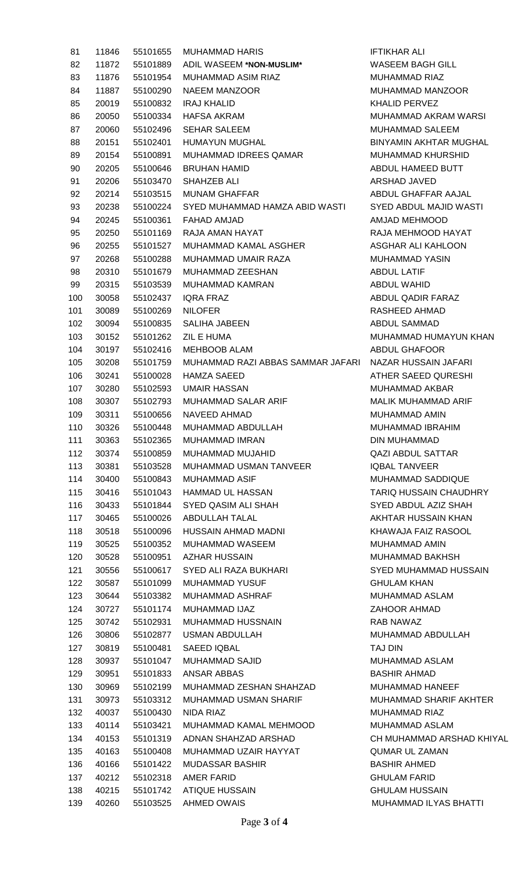| 81  | 11846 | 55101655 | <b>MUHAMMAD HARIS</b>             | <b>IFTIKHA</b>    |
|-----|-------|----------|-----------------------------------|-------------------|
| 82  | 11872 | 55101889 | ADIL WASEEM *NON-MUSLIM*          | <b>WASEE</b>      |
| 83  | 11876 | 55101954 | <b>MUHAMMAD ASIM RIAZ</b>         | <b>MUHAM</b>      |
| 84  | 11887 | 55100290 | <b>NAEEM MANZOOR</b>              | <b>MUHAM</b>      |
| 85  | 20019 | 55100832 | <b>IRAJ KHALID</b>                | <b>KHALID</b>     |
| 86  | 20050 | 55100334 | <b>HAFSA AKRAM</b>                | <b>MUHAM</b>      |
| 87  | 20060 | 55102496 | <b>SEHAR SALEEM</b>               | <b>MUHAM</b>      |
| 88  | 20151 | 55102401 | HUMAYUN MUGHAL                    | <b>BINYAM</b>     |
| 89  | 20154 | 55100891 | MUHAMMAD IDREES QAMAR             | <b>MUHAM</b>      |
| 90  | 20205 | 55100646 | <b>BRUHAN HAMID</b>               | <b>ABDUL</b>      |
| 91  | 20206 | 55103470 | SHAHZEB ALI                       | <b>ARSHAD</b>     |
| 92  | 20214 | 55103515 | <b>MUNAM GHAFFAR</b>              | <b>ABDUL</b>      |
| 93  | 20238 | 55100224 | SYED MUHAMMAD HAMZA ABID WASTI    | <b>SYED A</b>     |
| 94  | 20245 | 55100361 | <b>FAHAD AMJAD</b>                | <b>AMJAD</b>      |
| 95  | 20250 | 55101169 | RAJA AMAN HAYAT                   | RAJA M            |
| 96  | 20255 | 55101527 | MUHAMMAD KAMAL ASGHER             | <b>ASGHAR</b>     |
| 97  | 20268 | 55100288 | MUHAMMAD UMAIR RAZA               | <b>MUHAM</b>      |
| 98  | 20310 | 55101679 | MUHAMMAD ZEESHAN                  | <b>ABDUL</b>      |
| 99  | 20315 | 55103539 | <b>MUHAMMAD KAMRAN</b>            | <b>ABDUL</b>      |
| 100 | 30058 | 55102437 | <b>IQRA FRAZ</b>                  | <b>ABDUL</b>      |
| 101 | 30089 | 55100269 | <b>NILOFER</b>                    | <b>RASHEE</b>     |
| 102 | 30094 | 55100835 | <b>SALIHA JABEEN</b>              | <b>ABDUL</b>      |
| 103 | 30152 | 55101262 | <b>ZIL E HUMA</b>                 | <b>MUHAM</b>      |
| 104 | 30197 | 55102416 | <b>MEHBOOB ALAM</b>               | <b>ABDUL</b>      |
| 105 | 30208 | 55101759 | MUHAMMAD RAZI ABBAS SAMMAR JAFARI | <b>NAZAR</b>      |
| 106 | 30241 | 55100028 | <b>HAMZA SAEED</b>                | <b>ATHER</b>      |
| 107 | 30280 | 55102593 | <b>UMAIR HASSAN</b>               | <b>MUHAM</b>      |
| 108 | 30307 | 55102793 | <b>MUHAMMAD SALAR ARIF</b>        | <b>MALIK N</b>    |
| 109 | 30311 | 55100656 | <b>NAVEED AHMAD</b>               | <b>MUHAM</b>      |
| 110 | 30326 | 55100448 | MUHAMMAD ABDULLAH                 | <b>MUHAM</b>      |
| 111 | 30363 | 55102365 | MUHAMMAD IMRAN                    | <b>DIN MUI</b>    |
| 112 | 30374 | 55100859 | MUHAMMAD MUJAHID                  | <b>QAZI AE</b>    |
| 113 | 30381 | 55103528 | MUHAMMAD USMAN TANVEER            | <b>IQBAL T</b>    |
| 114 | 30400 | 55100843 | <b>MUHAMMAD ASIF</b>              | <b>MUHAM</b>      |
| 115 | 30416 | 55101043 | <b>HAMMAD UL HASSAN</b>           | <b>TARIQ H</b>    |
| 116 | 30433 | 55101844 | SYED QASIM ALI SHAH               | SYED A            |
| 117 | 30465 | 55100026 | ABDULLAH TALAL                    | <b>AKHTAF</b>     |
|     |       |          |                                   |                   |
| 118 | 30518 | 55100096 | HUSSAIN AHMAD MADNI               | <b>KHAWA</b>      |
| 119 | 30525 | 55100352 | <b>MUHAMMAD WASEEM</b>            | <b>MUHAM</b>      |
| 120 | 30528 | 55100951 | <b>AZHAR HUSSAIN</b>              | <b>MUHAM</b>      |
| 121 | 30556 | 55100617 | SYED ALI RAZA BUKHARI             | SYED <sub>M</sub> |
| 122 | 30587 | 55101099 | <b>MUHAMMAD YUSUF</b>             | <b>GHULAM</b>     |
| 123 | 30644 | 55103382 | MUHAMMAD ASHRAF                   | <b>MUHAM</b>      |
| 124 | 30727 | 55101174 | MUHAMMAD IJAZ                     | <b>ZAHOOI</b>     |
| 125 | 30742 | 55102931 | MUHAMMAD HUSSNAIN                 | <b>RAB NA</b>     |
| 126 | 30806 | 55102877 | <b>USMAN ABDULLAH</b>             | <b>MUHAM</b>      |
| 127 | 30819 | 55100481 | <b>SAEED IQBAL</b>                | <b>TAJ DIN</b>    |
| 128 | 30937 | 55101047 | <b>MUHAMMAD SAJID</b>             | <b>MUHAM</b>      |
| 129 | 30951 | 55101833 | ANSAR ABBAS                       | <b>BASHIR</b>     |
| 130 | 30969 | 55102199 | MUHAMMAD ZESHAN SHAHZAD           | <b>MUHAM</b>      |
| 131 | 30973 | 55103312 | MUHAMMAD USMAN SHARIF             | <b>MUHAM</b>      |
| 132 | 40037 | 55100430 | NIDA RIAZ                         | <b>MUHAM</b>      |
| 133 | 40114 | 55103421 | MUHAMMAD KAMAL MEHMOOD            | <b>MUHAM</b>      |
| 134 | 40153 | 55101319 | ADNAN SHAHZAD ARSHAD              | CH MUH            |
| 135 | 40163 | 55100408 | MUHAMMAD UZAIR HAYYAT             | <b>QUMAR</b>      |
| 136 | 40166 | 55101422 | <b>MUDASSAR BASHIR</b>            | <b>BASHIR</b>     |
| 137 | 40212 | 55102318 | <b>AMER FARID</b>                 | <b>GHULAM</b>     |
| 138 | 40215 | 55101742 | <b>ATIQUE HUSSAIN</b>             | <b>GHULAM</b>     |
| 139 | 40260 | 55103525 | <b>AHMED OWAIS</b>                | <b>MUHAN</b>      |

**IFTIKHAR ALI WASEEM BAGH GILL** MUHAMMAD RIAZ MUHAMMAD MANZOOR KHALID PERVEZ MUHAMMAD AKRAM WARSI MUHAMMAD SALEEM BINYAMIN AKHTAR MUGHAL MUHAMMAD KHURSHID ABDUL HAMEED BUTT ARSHAD JAVED ABDUL GHAFFAR AAJAL SYED ABDUL MAJID WASTI AMJAD MEHMOOD RAJA MEHMOOD HAYAT ASGHAR ALI KAHLOON MUHAMMAD YASIN **ABDUL LATIF** ABDUL WAHID ABDUL QADIR FARAZ RASHEED AHMAD ABDUL SAMMAD MUHAMMAD HUMAYUN KHAN ABDUL GHAFOOR RI NAZAR HUSSAIN JAFARI **ATHER SAEED QURESHI** MUHAMMAD AKBAR MALIK MUHAMMAD ARIF MUHAMMAD AMIN MUHAMMAD IBRAHIM DIN MUHAMMAD QAZI ABDUL SATTAR IQBAL TANVEER MUHAMMAD SADDIQUE TARIQ HUSSAIN CHAUDHRY SYED ABDUL AZIZ SHAH AKHTAR HUSSAIN KHAN KHAWAJA FAIZ RASOOL MUHAMMAD AMIN MUHAMMAD BAKHSH SYED MUHAMMAD HUSSAIN **GHULAM KHAN** MUHAMMAD ASLAM ZAHOOR AHMAD RAB NAWAZ MUHAMMAD ABDULLAH MUHAMMAD ASLAM BASHIR AHMAD MUHAMMAD HANEEF MUHAMMAD SHARIF AKHTER MUHAMMAD RIAZ MUHAMMAD ASLAM CH MUHAMMAD ARSHAD KHIYAL QUMAR UL ZAMAN BASHIR AHMED **GHULAM FARID GHULAM HUSSAIN** MUHAMMAD ILYAS BHATTI